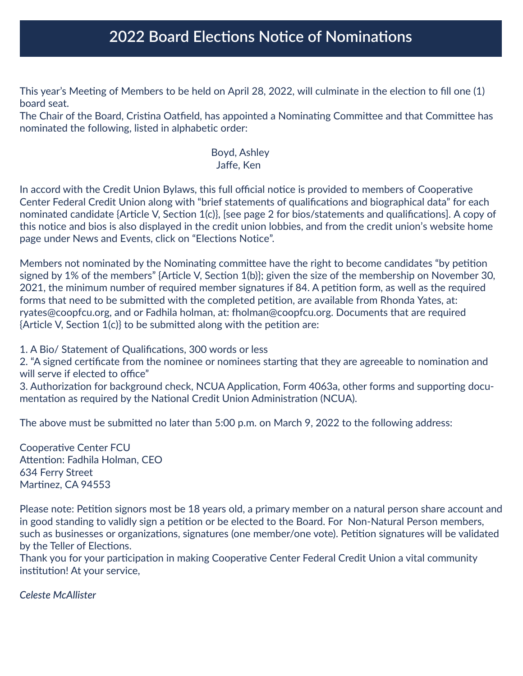## **2022 Board Elections Notice of Nominations**

This year's Meeting of Members to be held on April 28, 2022, will culminate in the election to fill one (1) board seat.

The Chair of the Board, Cristina Oatfield, has appointed a Nominating Committee and that Committee has nominated the following, listed in alphabetic order:

## Boyd, Ashley Jaffe, Ken

In accord with the Credit Union Bylaws, this full official notice is provided to members of Cooperative Center Federal Credit Union along with "brief statements of qualifications and biographical data" for each nominated candidate {Article V, Section 1(c)}, [see page 2 for bios/statements and qualifications]. A copy of this notice and bios is also displayed in the credit union lobbies, and from the credit union's website home page under News and Events, click on "Elections Notice".

Members not nominated by the Nominating committee have the right to become candidates "by petition signed by 1% of the members" {Article V, Section 1(b)}; given the size of the membership on November 30, 2021, the minimum number of required member signatures if 84. A petition form, as well as the required forms that need to be submitted with the completed petition, are available from Rhonda Yates, at: ryates@coopfcu.org, and or Fadhila holman, at: fholman@coopfcu.org. Documents that are required {Article V, Section 1(c)} to be submitted along with the petition are:

1. A Bio/ Statement of Qualifications, 300 words or less

2. "A signed certificate from the nominee or nominees starting that they are agreeable to nomination and will serve if elected to office"

3. Authorization for background check, NCUA Application, Form 4063a, other forms and supporting documentation as required by the National Credit Union Administration (NCUA).

The above must be submitted no later than 5:00 p.m. on March 9, 2022 to the following address:

Cooperative Center FCU Attention: Fadhila Holman, CEO 634 Ferry Street Martinez, CA 94553

Please note: Petition signors most be 18 years old, a primary member on a natural person share account and in good standing to validly sign a petition or be elected to the Board. For Non-Natural Person members, such as businesses or organizations, signatures (one member/one vote). Petition signatures will be validated by the Teller of Elections.

Thank you for your participation in making Cooperative Center Federal Credit Union a vital community institution! At your service,

*Celeste McAllister*